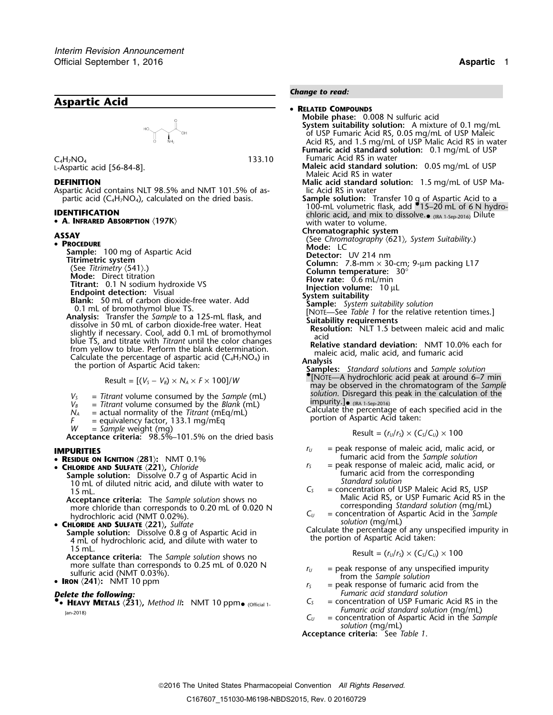



Aspartic Acid contains NLT 98.5% and NMT 101.5% of as-<br>partic acid (C<sub>4</sub>H<sub>7</sub>NO<sub>4</sub>), calculated on the dried basis.

• **A. INFRARED ABSORPTION** 〈**197K**〉 with water to volume.

 $V_s$  = *Titrant* volume consumed by the *Sample* (mL) solution. Disregard this  $V_B$  = *Titrant* volume consumed by the *Blank* (mL) impurity.

- $V_B$  = *Titrant* volume consumed by the *Blank* (mL)  $N_A$  = actual normality of the *Titrant* (mEq/mL)
- 
- 

- **RESIDUE ON IGNITION**  $\langle 281 \rangle$ : NMT 0.1%<br>• **CHLORIDE AND SULFATE**  $\langle 221 \rangle$ , Chloride
	- -

**Acceptance criteria:** The *Sample solution* shows no more chloride than corresponds to 0.20 mL of 0.020 N more chloride than corresponds to 0.20 mL of 0.020 N corresponding *Standard solution* (mg/mL)

### *Change to read:*

 **RELATED COMPOUNDS Mobile phase:** 0.008 N sulfuric acid **System suitability solution:** A mixture of 0.1 mg/mL of USP Fumaric Acid RS, 0.05 mg/mL of USP Maleic Acid RS, and 1.5 mg/mL of USP Malic Acid RS in water **Fumaric acid standard solution:** 0.1 mg/mL of USP <sup>C</sup> Fumaric Acid RS in water <sup>4</sup>H7NO<sup>4</sup> 133.10 **Maleic acid standard solution:** 0.05 mg/mL of USP Maleic Acid RS in water **DEFINITION**<br>**Aspartic Acid contains NLT 98.5% and NMT 101.5% of as- Malic Acid RS in water Malic Acid CO** in the Acid RS in water partic acid (C<sub>4</sub>H<sub>7</sub>NO<sub>4</sub>), calculated on the dried basis.<br>100-mL volumetric flask, add •15–20 mL of 6 N hydro-<br>chloric acid, and mix to dissolve.• (RA 1-Sep-2016) DENTIFICATION chloric acid, and mix to dissolve.. (IRA 1-Sep-2016) Dilute **Chromatographic system**<br> **Chromatography**  $(621)$ , *System Suitability*.)<br> **C C** *Mode:* LC **PROCEDURE**<br> **PROCEDURE:** 100 mg of Aspartic Acid<br>
Titrimetric system<br>
(See Titrimetric system)<br>
(See Titrimetric system)<br>
(See Titrimetric system)<br>
(See Titrimetric 0.1 N odumn: 7.8-mm × 30-cm; 9-µm packing L17<br>
(Mode: D  $\text{Result} = \left[ (V_s - V_s) \times N_A \times F \times 100 \right] / W$   $\text{may be observed in the chromatogram of the Sample}$ <br>
The sample (m) solution. Disregard this peak in the calculation of the *N*<sub>A</sub> = actual normality of the *Titrant* (mEq/mL) calculate the percentage of each specified acid in the *N<sub>A</sub>* = actual normality of the *Titrant* (mEq/mL) calculate the percentage of each specified acid in the *p*ortio *W* = *Sample* weight (mg)<br> **Acceptance criteria:** 98.5%–101.5% on the dried basis Result =  $(r<sub>U</sub>/r<sub>S</sub>) \times (C<sub>S</sub>/C<sub>U</sub>) \times 100$ **IMPURITIES**<br>
• **RESIDUE ON IGNITION** (281): NMT 0.1%<br>
• **ICC ICC FUMARIC** acid from the *Sample solution*<br>
• **RESIDUE ON IGNITION** (281): NMT 0.1%  $r<sub>S</sub>$  = peak response of maleic acid, malic acid, or **Sample solution:** Dissolve 0.7 g of Aspartic Acid in fumaric acid from the corresponding<br>
10 mL of diluted nitric acid, and dilute with water to<br>
15 mL.<br>
Acceptance criteria: The Sample solution shows no<br>
Acceptance crit *C*<sub>U</sub> = concentration of Aspartic Acid in the *Sample* hydrochloric acid (NMT 0.02%).<br>**• CHLORIDE AND SULFATE** (221). *Sultate* solution (mg/mL) • CHLORIDE AND SULFATE (221), Sulfate<br>
Sample solution: Dissolve 0.8 g of Aspartic Acid in<br>
4 mL of hydrochloric acid, and dilute with water to<br>
4 mL of hydrochloric acid, and dilute with water to<br>
4 mL of hydrochloric aci <sup>15</sup> mL. Result = (*<sup>r</sup>U*/*<sup>r</sup>S*) × (*CS*/*CU*) ×<sup>100</sup> **Acceptance criteria:** The *Sample solution* shows no more sulfate than corresponds to 0.25 mL of 0.020 N  $r_U =$  peak response of any unspecified impurity<br> **RON** (241): NMT 10 ppm<br> **RON** (241): NMT 10 ppm<br> **RON** (241): NMT 10 ppm **I** = peak response of fumaric acid from the *Fumaric acid standard solution* **Delete the following:**<br>• **HEAVY METALS** (231), Method II: NMT 10 ppm. <sub>(Official 1</sub>. C<sub>S</sub> = concentration of USP Fumaric Acid RS in the *Fumaric acid standard solution* (mg/mL)<br>Jan-2018) *C<sub>U</sub>* = concentration of Aspartic Acid in the *Sample* 

*solution* (mg/mL) **Acceptance criteria:** See *Table 1*.

2016 The United States Pharmacopeial Convention *All Rights Reserved.*